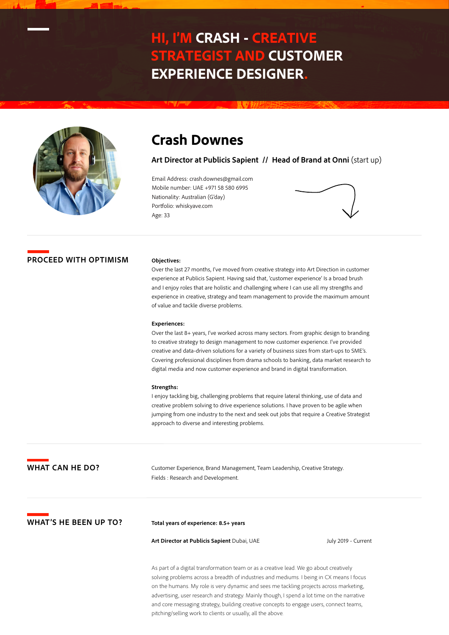# **HI, I'M CRASH - CREATIVE STRATEGIST AND CUSTOMER EXPERIENCE DESIGNER.**



# **Crash Downes**

**Art Director at Publicis Sapient // Head of Brand at Onni** (start up)

Email Address: crash.downes@gmail.com Mobile number: UAE +971 58 580 6995 Nationality: Australian (G'day) Portfolio: whiskyave.com Age: 33



# **PROCEED WITH OPTIMISM**

### **Objectives:**

Over the last 27 months, I've moved from creative strategy into Art Direction in customer experience at Publicis Sapient. Having said that, 'customer experience' Is a broad brush and I enjoy roles that are holistic and challenging where I can use all my strengths and experience in creative, strategy and team management to provide the maximum amount of value and tackle diverse problems.

#### **Experiences:**

Over the last 8+ years, I've worked across many sectors. From graphic design to branding to creative strategy to design management to now customer experience. I've provided creative and data-driven solutions for a variety of business sizes from start-ups to SME's. Covering professional disciplines from drama schools to banking, data market research to digital media and now customer experience and brand in digital transformation.

#### **Strengths:**

I enjoy tackling big, challenging problems that require lateral thinking, use of data and creative problem solving to drive experience solutions. I have proven to be agile when jumping from one industry to the next and seek out jobs that require a Creative Strategist approach to diverse and interesting problems.

**WHAT CAN HE DO?**

Customer Experience, Brand Management, Team Leadership, Creative Strategy. Fields : Research and Development.

**WHAT'S HE BEEN UP TO?**

**Total years of experience: 8.5+ years** 

**Art Director at Publicis Sapient** Dubai, UAE

July 2019 - Current

As part of a digital transformation team or as a creative lead. We go about creatively solving problems across a breadth of industries and mediums. I being in CX means I focus on the humans. My role is very dynamic and sees me tackling projects across marketing, advertising, user research and strategy. Mainly though, I spend a lot time on the narrative and core messaging strategy, building creative concepts to engage users, connect teams, pitching/selling work to clients or usually, all the above.